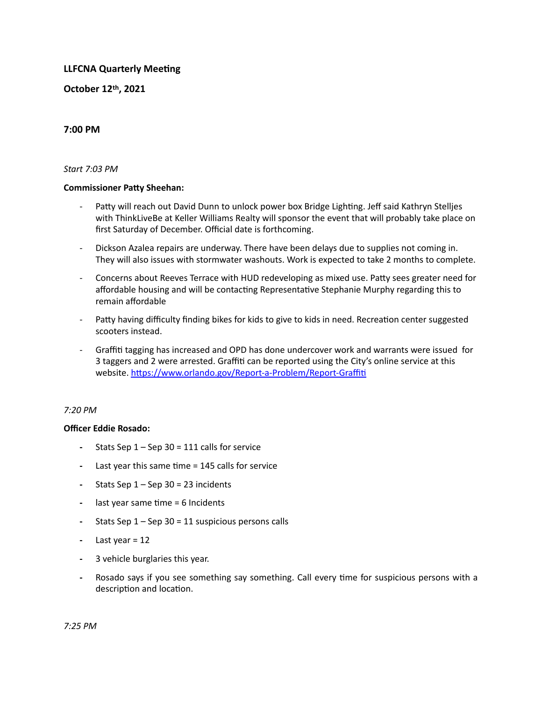# **LLFCNA Quarterly Meeting**

**October 12th, 2021**

## **7:00 PM**

### *Start 7:03 PM*

### **Commissioner Patty Sheehan:**

- Patty will reach out David Dunn to unlock power box Bridge Lighting. Jeff said Kathryn Stelljes with ThinkLiveBe at Keller Williams Realty will sponsor the event that will probably take place on first Saturday of December. Official date is forthcoming.
- Dickson Azalea repairs are underway. There have been delays due to supplies not coming in. They will also issues with stormwater washouts. Work is expected to take 2 months to complete.
- Concerns about Reeves Terrace with HUD redeveloping as mixed use. Patty sees greater need for affordable housing and will be contacting Representative Stephanie Murphy regarding this to remain affordable
- Patty having difficulty finding bikes for kids to give to kids in need. Recreation center suggested scooters instead.
- Graffiti tagging has increased and OPD has done undercover work and warrants were issued for 3 taggers and 2 were arrested. Graffiti can be reported using the City's online service at this website. [https://www.orlando.gov/Report-a-Problem/Report-Graffit](https://www.orlando.gov/Report-a-Problem/Report-Graffiti)

## *7:20 PM*

## **Officer Eddie Rosado:**

- **-** Stats Sep 1 Sep 30 = 111 calls for service
- **-** Last year this same time = 145 calls for service
- **-** Stats Sep 1 Sep 30 = 23 incidents
- **-** last year same time = 6 Incidents
- **-** Stats Sep 1 Sep 30 = 11 suspicious persons calls
- **-** Last year = 12
- **-** 3 vehicle burglaries this year.
- **-** Rosado says if you see something say something. Call every time for suspicious persons with a description and location.